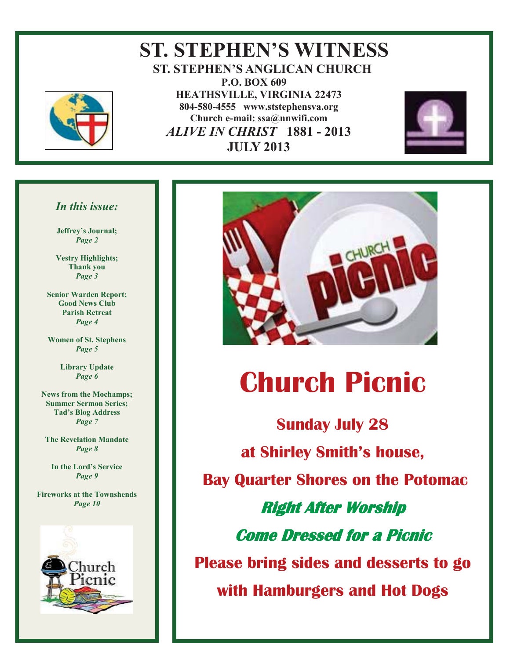

#### **ST. STEPHEN'S WITNESS ST. STEPHEN'S ANGLICAN CHURCH P.O. BOX 609 HEATHSVILLE, VIRGINIA 22473 804-580-4555 www.ststephensva.org Church e-mail: ssa@nnwifi.com**   *ALIVE IN CHRIST* **1881 - 2013 JULY 2013**



#### *In this issue:*

**Jeffrey's Journal;** *Page 2* 

**Vestry Highlights; Thank you** *Page 3* 

**Senior Warden Report; Good News Club Parish Retreat**  *Page 4* 

**Women of St. Stephens** *Page 5* 

> **Library Update**  *Page 6*

**News from the Mochamps; Summer Sermon Series; Tad's Blog Address** *Page 7* 

**The Revelation Mandate**  *Page 8* 

**In the Lord's Service** *Page 9* 

**Fireworks at the Townshends**  *Page 10* 





# **Church Picnic**

**Sunday July 28 at Shirley Smith's house, Bay Quarter Shores on the Potomac Right After Worship Come Dressed for a Picnic Please bring sides and desserts to go with Hamburgers and Hot Dogs** 

Ī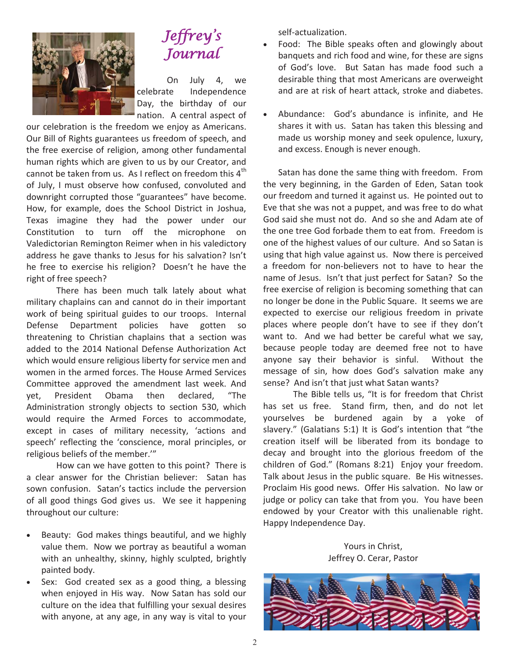

## Jeffrey ' s Journal

 On July 4, we celebrate Independence Day, the birthday of our nation. A central aspect of

our celebration is the freedom we enjoy as Americans. Our Bill of Rights guarantees us freedom of speech, and the free exercise of religion, among other fundamental human rights which are given to us by our Creator, and cannot be taken from us. As I reflect on freedom this  $4<sup>th</sup>$ of July, I must observe how confused, convoluted and downright corrupted those "guarantees" have become. How, for example, does the School District in Joshua, Texas imagine they had the power under our Constitution to turn off the microphone on Valedictorian Remington Reimer when in his valedictory address he gave thanks to Jesus for his salvation? Isn't he free to exercise his religion? Doesn't he have the right of free speech?

 There has been much talk lately about what military chaplains can and cannot do in their important work of being spiritual guides to our troops. Internal Defense Department policies have gotten so threatening to Christian chaplains that a section was added to the 2014 National Defense Authorization Act which would ensure religious liberty for service men and women in the armed forces. The House Armed Services Committee approved the amendment last week. And yet, President Obama then declared, "The Administration strongly objects to section 530, which would require the Armed Forces to accommodate, except in cases of military necessity, 'actions and speech' reflecting the 'conscience, moral principles, or religious beliefs of the member.'"

 How can we have gotten to this point? There is a clear answer for the Christian believer: Satan has sown confusion. Satan's tactics include the perversion of all good things God gives us. We see it happening throughout our culture:

- Beauty: God makes things beautiful, and we highly value them. Now we portray as beautiful a woman with an unhealthy, skinny, highly sculpted, brightly painted body.
- Sex: God created sex as a good thing, a blessing when enjoyed in His way. Now Satan has sold our culture on the idea that fulfilling your sexual desires with anyone, at any age, in any way is vital to your

self-actualization.

- Food: The Bible speaks often and glowingly about banquets and rich food and wine, for these are signs of God's love. But Satan has made food such a desirable thing that most Americans are overweight and are at risk of heart attack, stroke and diabetes.
- Abundance: God's abundance is infinite, and He shares it with us. Satan has taken this blessing and made us worship money and seek opulence, luxury, and excess. Enough is never enough.

 Satan has done the same thing with freedom. From the very beginning, in the Garden of Eden, Satan took our freedom and turned it against us. He pointed out to Eve that she was not a puppet, and was free to do what God said she must not do. And so she and Adam ate of the one tree God forbade them to eat from. Freedom is one of the highest values of our culture. And so Satan is using that high value against us. Now there is perceived a freedom for non-believers not to have to hear the name of Jesus. Isn't that just perfect for Satan? So the free exercise of religion is becoming something that can no longer be done in the Public Square. It seems we are expected to exercise our religious freedom in private places where people don't have to see if they don't want to. And we had better be careful what we say, because people today are deemed free not to have anyone say their behavior is sinful. Without the message of sin, how does God's salvation make any sense? And isn't that just what Satan wants?

The Bible tells us, "It is for freedom that Christ has set us free. Stand firm, then, and do not let yourselves be burdened again by a yoke of slavery." (Galatians 5:1) It is God's intention that "the creation itself will be liberated from its bondage to decay and brought into the glorious freedom of the children of God." (Romans 8:21) Enjoy your freedom. Talk about Jesus in the public square. Be His witnesses. Proclaim His good news. Offer His salvation. No law or judge or policy can take that from you. You have been endowed by your Creator with this unalienable right. Happy Independence Day.

Yours in Christ, Jeffrey O. Cerar, Pastor

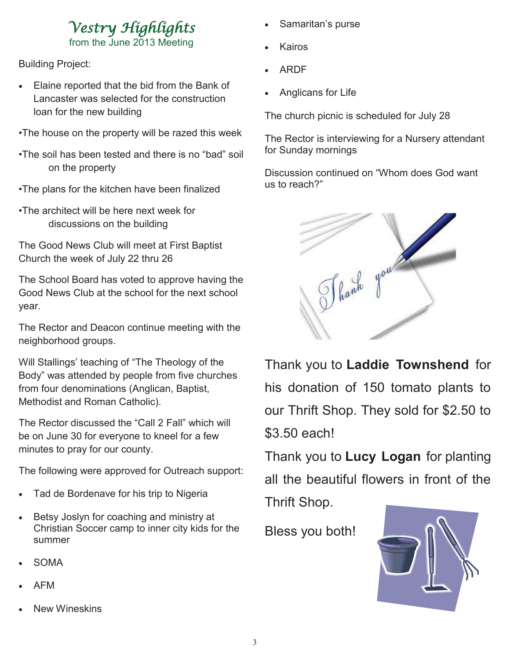# Vestry Highlights

from the June 2013 Meeting

Building Project:

- Elaine reported that the bid from the Bank of Lancaster was selected for the construction loan for the new building
- •The house on the property will be razed this week
- •The soil has been tested and there is no "bad" soil on the property
- •The plans for the kitchen have been finalized
- •The architect will be here next week for discussions on the building

The Good News Club will meet at First Baptist Church the week of July 22 thru 26

The School Board has voted to approve having the Good News Club at the school for the next school year.

The Rector and Deacon continue meeting with the neighborhood groups.

Will Stallings' teaching of "The Theology of the Body" was attended by people from five churches from four denominations (Anglican, Baptist, Methodist and Roman Catholic).

The Rector discussed the "Call 2 Fall" which will be on June 30 for everyone to kneel for a few minutes to pray for our county.

The following were approved for Outreach support:

- Tad de Bordenave for his trip to Nigeria
- Betsy Joslyn for coaching and ministry at Christian Soccer camp to inner city kids for the summer
- **SOMA**
- **AFM**
- **New Wineskins**
- Samaritan's purse
- **Kairos**
- **ARDF**
- Anglicans for Life

The church picnic is scheduled for July 28

The Rector is interviewing for a Nursery attendant for Sunday mornings

Discussion continued on "Whom does God want us to reach?"



Thank you to **Laddie Townshend** for his donation of 150 tomato plants to our Thrift Shop. They sold for \$2.50 to \$3.50 each!

Thank you to **Lucy Logan** for planting all the beautiful flowers in front of the Thrift Shop.

Bless you both!

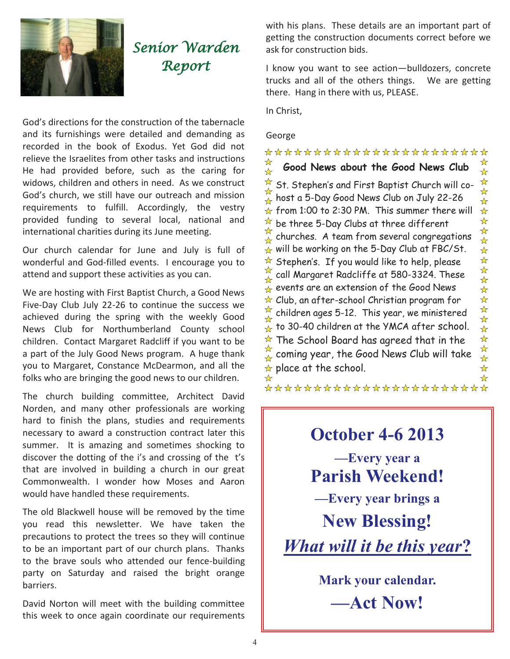

## Senior Warden Report

God's directions for the construction of the tabernacle and its furnishings were detailed and demanding as recorded in the book of Exodus. Yet God did not relieve the Israelites from other tasks and instructions He had provided before, such as the caring for widows, children and others in need. As we construct God's church, we still have our outreach and mission requirements to fulfill. Accordingly, the vestry provided funding to several local, national and international charities during its June meeting.

Our church calendar for June and July is full of wonderful and God-filled events. I encourage you to attend and support these activities as you can.

We are hosting with First Baptist Church, a Good News Five-Day Club July 22-26 to continue the success we achieved during the spring with the weekly Good News Club for Northumberland County school children. Contact Margaret Radcliff if you want to be a part of the July Good News program. A huge thank you to Margaret, Constance McDearmon, and all the folks who are bringing the good news to our children.

The church building committee, Architect David Norden, and many other professionals are working hard to finish the plans, studies and requirements necessary to award a construction contract later this summer. It is amazing and sometimes shocking to discover the dotting of the i's and crossing of the t's that are involved in building a church in our great Commonwealth. I wonder how Moses and Aaron would have handled these requirements.

The old Blackwell house will be removed by the time you read this newsletter. We have taken the precautions to protect the trees so they will continue to be an important part of our church plans. Thanks to the brave souls who attended our fence-building party on Saturday and raised the bright orange barriers.

David Norton will meet with the building committee this week to once again coordinate our requirements with his plans. These details are an important part of getting the construction documents correct before we ask for construction bids.

I know you want to see action—bulldozers, concrete trucks and all of the others things. We are getting there. Hang in there with us, PLEASE.

In Christ,

#### George

\*\*\*\*\*\*\*\*\*\*\*\*\*\*\*\*\*\*\*\*\*\*\*  $\star$ **Good News about the Good News Club**   $\frac{1}{\sqrt{2}}$  $\frac{1}{\mathcal{N}}$  $\stackrel{\star}{\text{A}}$  St. Stephen's and First Baptist Church will co- $\frac{1}{\sqrt{2}}$ host a 5-Day Good News Club on July 22-26  $\star$  from 1:00 to 2:30 PM. This summer there will  $\overline{a}$  be three 5-Day Clubs at three different churches. A team from several congregations  $\star$  will be working on the 5-Day Club at FBC/St.  $\star$  Stephen's. If you would like to help, please  $\frac{1}{\lambda}$  call Margaret Radcliffe at 580-3324. These  $\mathcal{L}_{\mathbf{R}}$  events are an extension of the Good News  $\star$  Club, an after-school Christian program for  $\stackrel{\star}{\text{A}}$  children ages 5-12. This year, we ministered ☆  $\hat{\mathbf{r}}$  to 30-40 children at the YMCA after school.  $\star$  The School Board has agreed that in the  $\frac{\pi}{4}$  coming year, the Good News Club will take  $\star$  place at the school. D

\*\*\*\*\*\*\*\*\*\*\*\*\*\*\*\*\*\*\*\*\*\*\*



**Mark your calendar. —Act Now!**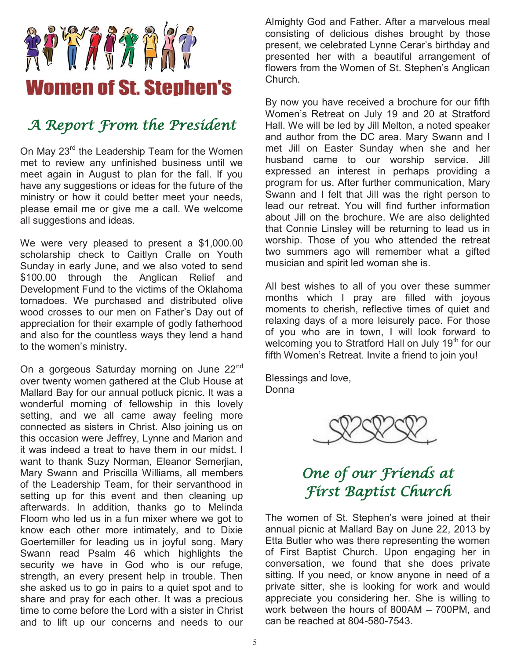

## A Report From the President

On May 23<sup>rd</sup> the Leadership Team for the Women met to review any unfinished business until we meet again in August to plan for the fall. If you have any suggestions or ideas for the future of the ministry or how it could better meet your needs, please email me or give me a call. We welcome all suggestions and ideas.

We were very pleased to present a \$1,000.00 scholarship check to Caitlyn Cralle on Youth Sunday in early June, and we also voted to send \$100.00 through the Anglican Relief and Development Fund to the victims of the Oklahoma tornadoes. We purchased and distributed olive wood crosses to our men on Father's Day out of appreciation for their example of godly fatherhood and also for the countless ways they lend a hand to the women's ministry.

On a gorgeous Saturday morning on June 22<sup>nd</sup> over twenty women gathered at the Club House at Mallard Bay for our annual potluck picnic. It was a wonderful morning of fellowship in this lovely setting, and we all came away feeling more connected as sisters in Christ. Also joining us on this occasion were Jeffrey, Lynne and Marion and it was indeed a treat to have them in our midst. I want to thank Suzy Norman, Eleanor Semerjian, Mary Swann and Priscilla Williams, all members of the Leadership Team, for their servanthood in setting up for this event and then cleaning up afterwards. In addition, thanks go to Melinda Floom who led us in a fun mixer where we got to know each other more intimately, and to Dixie Goertemiller for leading us in joyful song. Mary Swann read Psalm 46 which highlights the security we have in God who is our refuge, strength, an every present help in trouble. Then she asked us to go in pairs to a quiet spot and to share and pray for each other. It was a precious time to come before the Lord with a sister in Christ and to lift up our concerns and needs to our

Almighty God and Father. After a marvelous meal consisting of delicious dishes brought by those present, we celebrated Lynne Cerar's birthday and presented her with a beautiful arrangement of flowers from the Women of St. Stephen's Anglican Church.

By now you have received a brochure for our fifth Women's Retreat on July 19 and 20 at Stratford Hall. We will be led by Jill Melton, a noted speaker and author from the DC area. Mary Swann and I met Jill on Easter Sunday when she and her husband came to our worship service. Jill expressed an interest in perhaps providing a program for us. After further communication, Mary Swann and I felt that Jill was the right person to lead our retreat. You will find further information about Jill on the brochure. We are also delighted that Connie Linsley will be returning to lead us in worship. Those of you who attended the retreat two summers ago will remember what a gifted musician and spirit led woman she is.

All best wishes to all of you over these summer months which I pray are filled with joyous moments to cherish, reflective times of quiet and relaxing days of a more leisurely pace. For those of you who are in town, I will look forward to welcoming you to Stratford Hall on July 19<sup>th</sup> for our fifth Women's Retreat. Invite a friend to join you!

Blessings and love, Donna



## One of our Friends at First Baptist Church

The women of St. Stephen's were joined at their annual picnic at Mallard Bay on June 22, 2013 by Etta Butler who was there representing the women of First Baptist Church. Upon engaging her in conversation, we found that she does private sitting. If you need, or know anyone in need of a private sitter, she is looking for work and would appreciate you considering her. She is willing to work between the hours of 800AM – 700PM, and can be reached at 804-580-7543.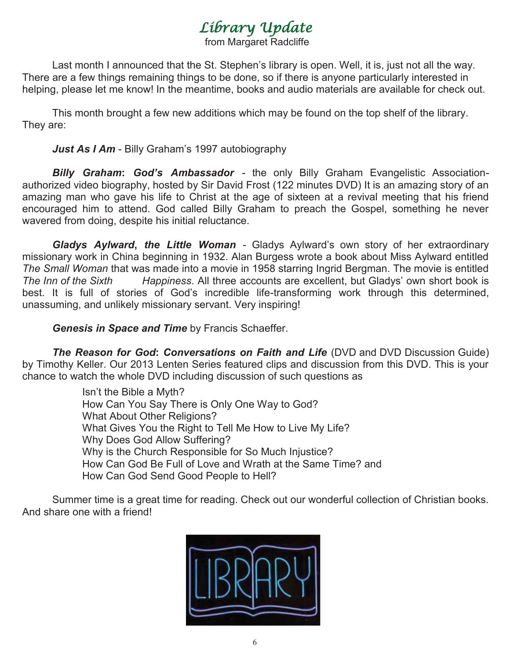## Library Update

from Margaret Radcliffe

Last month I announced that the St. Stephen's library is open. Well, it is, just not all the way. There are a few things remaining things to be done, so if there is anyone particularly interested in helping, please let me know! In the meantime, books and audio materials are available for check out.

 This month brought a few new additions which may be found on the top shelf of the library. They are:

#### *Just As I Am* - Billy Graham's 1997 autobiography

*Billy Graham***:** *God's Ambassador* - the only Billy Graham Evangelistic Associationauthorized video biography, hosted by Sir David Frost (122 minutes DVD) It is an amazing story of an amazing man who gave his life to Christ at the age of sixteen at a revival meeting that his friend encouraged him to attend. God called Billy Graham to preach the Gospel, something he never wavered from doing, despite his initial reluctance.

*Gladys Aylward***,** *the Little Woman* - Gladys Aylward's own story of her extraordinary missionary work in China beginning in 1932. Alan Burgess wrote a book about Miss Aylward entitled *The Small Woman* that was made into a movie in 1958 starring Ingrid Bergman. The movie is entitled *The Inn of the Sixth Happiness*. All three accounts are excellent, but Gladys' own short book is best. It is full of stories of God's incredible life-transforming work through this determined, unassuming, and unlikely missionary servant. Very inspiring!

*Genesis in Space and Time* by Francis Schaeffer.

*The Reason for God***:** *Conversations on Faith and Life* (DVD and DVD Discussion Guide) by Timothy Keller. Our 2013 Lenten Series featured clips and discussion from this DVD. This is your chance to watch the whole DVD including discussion of such questions as

> Isn't the Bible a Myth? How Can You Say There is Only One Way to God? What About Other Religions? What Gives You the Right to Tell Me How to Live My Life? Why Does God Allow Suffering? Why is the Church Responsible for So Much Injustice? How Can God Be Full of Love and Wrath at the Same Time? and How Can God Send Good People to Hell?

 Summer time is a great time for reading. Check out our wonderful collection of Christian books. And share one with a friend!

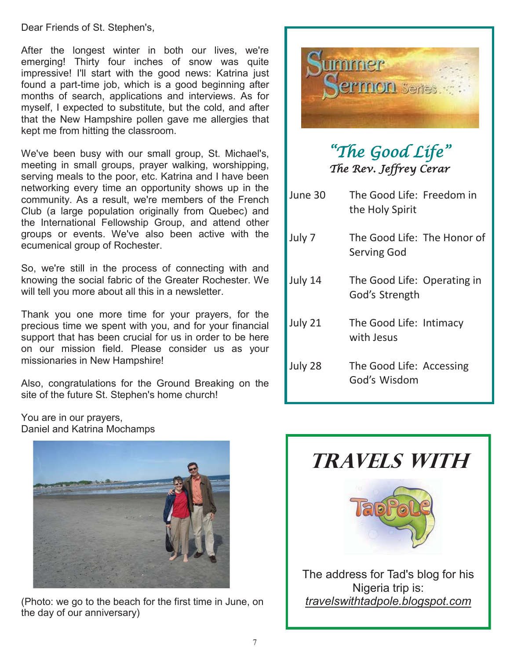Dear Friends of St. Stephen's,

After the longest winter in both our lives, we're emerging! Thirty four inches of snow was quite impressive! I'll start with the good news: Katrina just found a part-time job, which is a good beginning after months of search, applications and interviews. As for myself, I expected to substitute, but the cold, and after that the New Hampshire pollen gave me allergies that kept me from hitting the classroom.

We've been busy with our small group, St. Michael's, meeting in small groups, prayer walking, worshipping, serving meals to the poor, etc. Katrina and I have been networking every time an opportunity shows up in the community. As a result, we're members of the French Club (a large population originally from Quebec) and the International Fellowship Group, and attend other groups or events. We've also been active with the ecumenical group of Rochester.

So, we're still in the process of connecting with and knowing the social fabric of the Greater Rochester. We will tell you more about all this in a newsletter.

Thank you one more time for your prayers, for the precious time we spent with you, and for your financial support that has been crucial for us in order to be here on our mission field. Please consider us as your missionaries in New Hampshire!

Also, congratulations for the Ground Breaking on the site of the future St. Stephen's home church!

You are in our prayers, Daniel and Katrina Mochamps



(Photo: we go to the beach for the first time in June, on the day of our anniversary)



## "The Good Life " The Rev. Jeffrey Cerar

- June 30 The Good Life: Freedom in the Holy Spirit
- July 7 The Good Life: The Honor of Serving God
- July 14 The Good Life: Operating in God's Strength
- July 21 The Good Life: Intimacy with Jesus
- July 28 The Good Life: Accessing God's Wisdom



Nigeria trip is: *travelswithtadpole.blogspot.com*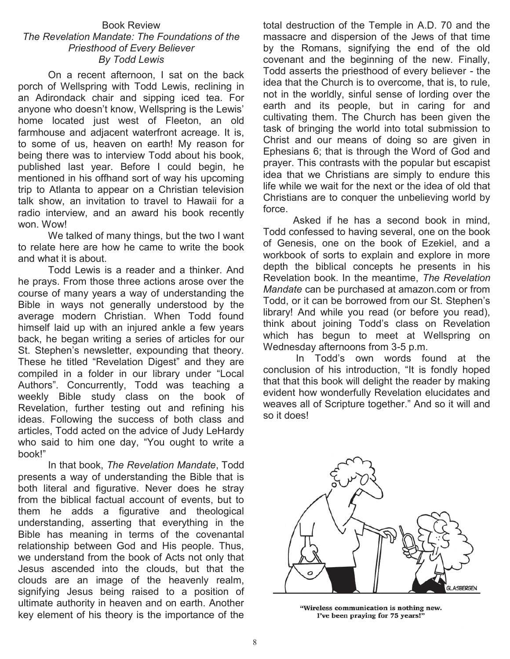#### Book Review *The Revelation Mandate: The Foundations of the Priesthood of Every Believer By Todd Lewis*

 On a recent afternoon, I sat on the back porch of Wellspring with Todd Lewis, reclining in an Adirondack chair and sipping iced tea. For anyone who doesn't know, Wellspring is the Lewis' home located just west of Fleeton, an old farmhouse and adjacent waterfront acreage. It is, to some of us, heaven on earth! My reason for being there was to interview Todd about his book, published last year. Before I could begin, he mentioned in his offhand sort of way his upcoming trip to Atlanta to appear on a Christian television talk show, an invitation to travel to Hawaii for a radio interview, and an award his book recently won. Wow!

We talked of many things, but the two I want to relate here are how he came to write the book and what it is about.

 Todd Lewis is a reader and a thinker. And he prays. From those three actions arose over the course of many years a way of understanding the Bible in ways not generally understood by the average modern Christian. When Todd found himself laid up with an injured ankle a few years back, he began writing a series of articles for our St. Stephen's newsletter, expounding that theory. These he titled "Revelation Digest" and they are compiled in a folder in our library under "Local Authors". Concurrently, Todd was teaching a weekly Bible study class on the book of Revelation, further testing out and refining his ideas. Following the success of both class and articles, Todd acted on the advice of Judy LeHardy who said to him one day, "You ought to write a book!"

 In that book, *The Revelation Mandate*, Todd presents a way of understanding the Bible that is both literal and figurative. Never does he stray from the biblical factual account of events, but to them he adds a figurative and theological understanding, asserting that everything in the Bible has meaning in terms of the covenantal relationship between God and His people. Thus, we understand from the book of Acts not only that Jesus ascended into the clouds, but that the clouds are an image of the heavenly realm, signifying Jesus being raised to a position of ultimate authority in heaven and on earth. Another key element of his theory is the importance of the

total destruction of the Temple in A.D. 70 and the massacre and dispersion of the Jews of that time by the Romans, signifying the end of the old covenant and the beginning of the new. Finally, Todd asserts the priesthood of every believer - the idea that the Church is to overcome, that is, to rule, not in the worldly, sinful sense of lording over the earth and its people, but in caring for and cultivating them. The Church has been given the task of bringing the world into total submission to Christ and our means of doing so are given in Ephesians 6; that is through the Word of God and prayer. This contrasts with the popular but escapist idea that we Christians are simply to endure this life while we wait for the next or the idea of old that Christians are to conquer the unbelieving world by force.

 Asked if he has a second book in mind, Todd confessed to having several, one on the book of Genesis, one on the book of Ezekiel, and a workbook of sorts to explain and explore in more depth the biblical concepts he presents in his Revelation book. In the meantime, *The Revelation Mandate* can be purchased at amazon.com or from Todd, or it can be borrowed from our St. Stephen's library! And while you read (or before you read), think about joining Todd's class on Revelation which has begun to meet at Wellspring on Wednesday afternoons from 3-5 p.m.

 In Todd's own words found at the conclusion of his introduction, "It is fondly hoped that that this book will delight the reader by making evident how wonderfully Revelation elucidates and weaves all of Scripture together." And so it will and so it does!



"Wireless communication is nothing new. I've been praying for 75 years!"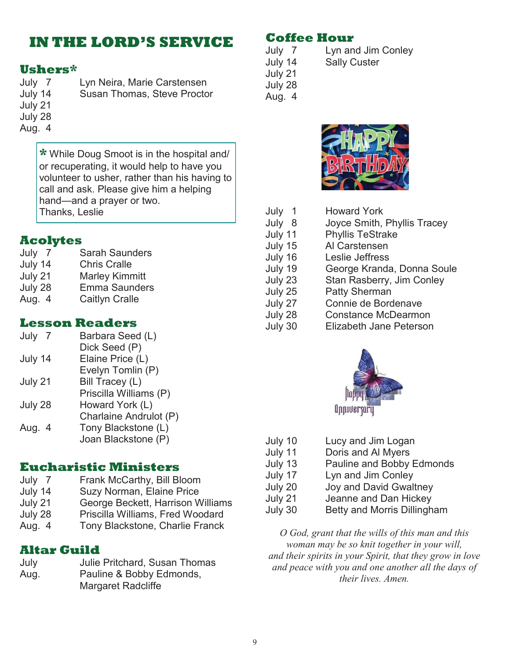## **IN THE LORD'S SERVICE**

#### **Ushers\***

July 7 Lyn Neira, Marie Carstensen July 14 Susan Thomas, Steve Proctor July 21 July 28 Aug. 4

**\*** While Doug Smoot is in the hospital and/ or recuperating, it would help to have you volunteer to usher, rather than his having to call and ask. Please give him a helping hand—and a prayer or two. Thanks, Leslie

#### **Acolytes**

| July<br>7 | <b>Sarah Saunders</b> |
|-----------|-----------------------|
| July 14   | <b>Chris Cralle</b>   |
| July 21   | <b>Marley Kimmitt</b> |
| July 28   | <b>Emma Saunders</b>  |
| Aug. 4    | <b>Caitlyn Cralle</b> |

#### **Lesson Readers**

| July<br>$\overline{7}$<br>July 14 | Barbara Seed (L)<br>Dick Seed (P) Elaine<br>Price (L) |
|-----------------------------------|-------------------------------------------------------|
|                                   |                                                       |
| July 21                           | <b>Bill Tracey (L) Priscilla</b><br>Williams (P)      |
| July 28                           | Howard York (L)<br>Charlaine Andrulot (P)             |
| Aug. 4                            | Tony Blackstone (L)<br>Joan Blackstone (P)            |

#### **Eucharistic Ministers**

- July 7 Frank McCarthy, Bill Bloom
- July 14 Suzy Norman, Elaine Price
- July 21 George Beckett, Harrison Williams
- July 28 Priscilla Williams, Fred Woodard
- Aug. 4 Tony Blackstone, Charlie Franck

#### **Altar Guild**

| July | Julie Pritchard, Susan Thomas |
|------|-------------------------------|
| Aug. | Pauline & Bobby Edmonds,      |
|      | <b>Margaret Radcliffe</b>     |

#### **Coffee Hour**

July 7 Lyn and Jim Conley<br>July 14 Sally Custer **Sally Custer** July 21 July 28 Aug. 4



| <b>Howard York</b>          |
|-----------------------------|
| Joyce Smith, Phyllis Tracey |
| <b>Phyllis TeStrake</b>     |
| Al Carstensen               |
| Leslie Jeffress             |
| George Kranda, Donna Soule  |
| Stan Rasberry, Jim Conley   |
| <b>Patty Sherman</b>        |
| Connie de Bordenave         |
| <b>Constance McDearmon</b>  |
| Elizabeth Jane Peterson     |
|                             |



| July 10 | Lucy and Jim Logan          |
|---------|-----------------------------|
| July 11 | Doris and Al Myers          |
| July 13 | Pauline and Bobby Edmonds   |
| July 17 | Lyn and Jim Conley          |
| July 20 | Joy and David Gwaltney      |
| July 21 | Jeanne and Dan Hickey       |
| July 30 | Betty and Morris Dillingham |
|         |                             |

*O God, grant that the wills of this man and this woman may be so knit together in your will, and their spirits in your Spirit, that they grow in love and peace with you and one another all the days of their lives. Amen.*